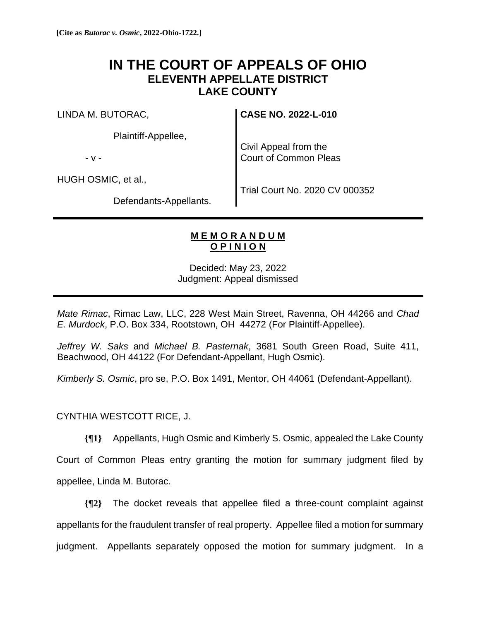## **IN THE COURT OF APPEALS OF OHIO ELEVENTH APPELLATE DISTRICT LAKE COUNTY**

LINDA M. BUTORAC,

Plaintiff-Appellee,

- v -

Civil Appeal from the Court of Common Pleas

**CASE NO. 2022-L-010**

HUGH OSMIC, et al.,

Trial Court No. 2020 CV 000352

Defendants-Appellants.

## **M E M O R A N D U M O P I N I O N**

Decided: May 23, 2022 Judgment: Appeal dismissed

*Mate Rimac*, Rimac Law, LLC, 228 West Main Street, Ravenna, OH 44266 and *Chad E. Murdock*, P.O. Box 334, Rootstown, OH 44272 (For Plaintiff-Appellee).

*Jeffrey W. Saks* and *Michael B. Pasternak*, 3681 South Green Road, Suite 411, Beachwood, OH 44122 (For Defendant-Appellant, Hugh Osmic).

*Kimberly S. Osmic*, pro se, P.O. Box 1491, Mentor, OH 44061 (Defendant-Appellant).

CYNTHIA WESTCOTT RICE, J.

**{¶1}** Appellants, Hugh Osmic and Kimberly S. Osmic, appealed the Lake County

Court of Common Pleas entry granting the motion for summary judgment filed by appellee, Linda M. Butorac.

**{¶2}** The docket reveals that appellee filed a three-count complaint against appellants for the fraudulent transfer of real property. Appellee filed a motion for summary judgment. Appellants separately opposed the motion for summary judgment. In a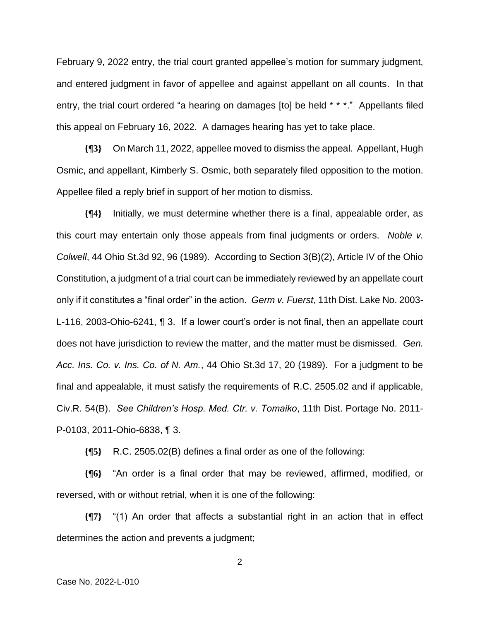February 9, 2022 entry, the trial court granted appellee's motion for summary judgment, and entered judgment in favor of appellee and against appellant on all counts. In that entry, the trial court ordered "a hearing on damages [to] be held \* \* \*." Appellants filed this appeal on February 16, 2022. A damages hearing has yet to take place.

**{¶3}** On March 11, 2022, appellee moved to dismiss the appeal. Appellant, Hugh Osmic, and appellant, Kimberly S. Osmic, both separately filed opposition to the motion. Appellee filed a reply brief in support of her motion to dismiss.

**{¶4}** Initially, we must determine whether there is a final, appealable order, as this court may entertain only those appeals from final judgments or orders. *Noble v. Colwell*, 44 Ohio St.3d 92, 96 (1989). According to Section 3(B)(2), Article IV of the Ohio Constitution, a judgment of a trial court can be immediately reviewed by an appellate court only if it constitutes a "final order" in the action. *Germ v. Fuerst*, 11th Dist. Lake No. 2003- L-116, 2003-Ohio-6241, ¶ 3. If a lower court's order is not final, then an appellate court does not have jurisdiction to review the matter, and the matter must be dismissed. *Gen. Acc. Ins. Co. v. Ins. Co. of N. Am.*, 44 Ohio St.3d 17, 20 (1989). For a judgment to be final and appealable, it must satisfy the requirements of R.C. 2505.02 and if applicable, Civ.R. 54(B). *See Children's Hosp. Med. Ctr. v. Tomaiko*, 11th Dist. Portage No. 2011- P-0103, 2011-Ohio-6838, ¶ 3.

**{¶5}** R.C. 2505.02(B) defines a final order as one of the following:

**{¶6}** "An order is a final order that may be reviewed, affirmed, modified, or reversed, with or without retrial, when it is one of the following:

**{¶7}** "(1) An order that affects a substantial right in an action that in effect determines the action and prevents a judgment;

2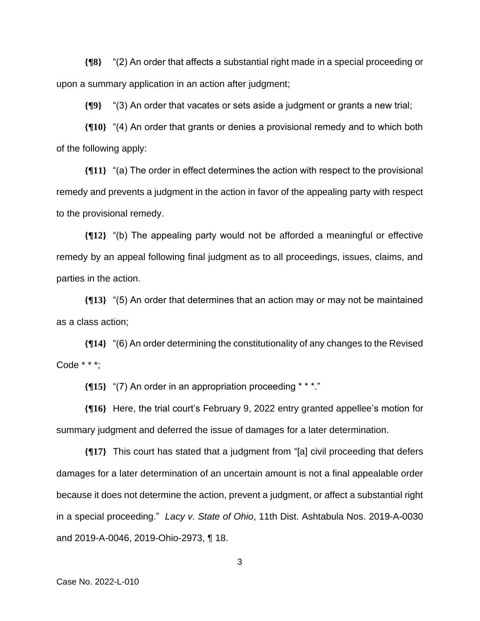**{¶8}** "(2) An order that affects a substantial right made in a special proceeding or upon a summary application in an action after judgment;

**{¶9}** "(3) An order that vacates or sets aside a judgment or grants a new trial;

**{¶10}** "(4) An order that grants or denies a provisional remedy and to which both of the following apply:

**{¶11}** "(a) The order in effect determines the action with respect to the provisional remedy and prevents a judgment in the action in favor of the appealing party with respect to the provisional remedy.

**{¶12}** "(b) The appealing party would not be afforded a meaningful or effective remedy by an appeal following final judgment as to all proceedings, issues, claims, and parties in the action.

**{¶13}** "(5) An order that determines that an action may or may not be maintained as a class action;

**{¶14}** "(6) An order determining the constitutionality of any changes to the Revised Code \* \* \*;

**{¶15}** "(7) An order in an appropriation proceeding \* \* \*."

**{¶16}** Here, the trial court's February 9, 2022 entry granted appellee's motion for summary judgment and deferred the issue of damages for a later determination.

**{¶17}** This court has stated that a judgment from "[a] civil proceeding that defers damages for a later determination of an uncertain amount is not a final appealable order because it does not determine the action, prevent a judgment, or affect a substantial right in a special proceeding." *Lacy v. State of Ohio*, 11th Dist. Ashtabula Nos. 2019-A-0030 and 2019-A-0046, 2019-Ohio-2973, ¶ 18.

3